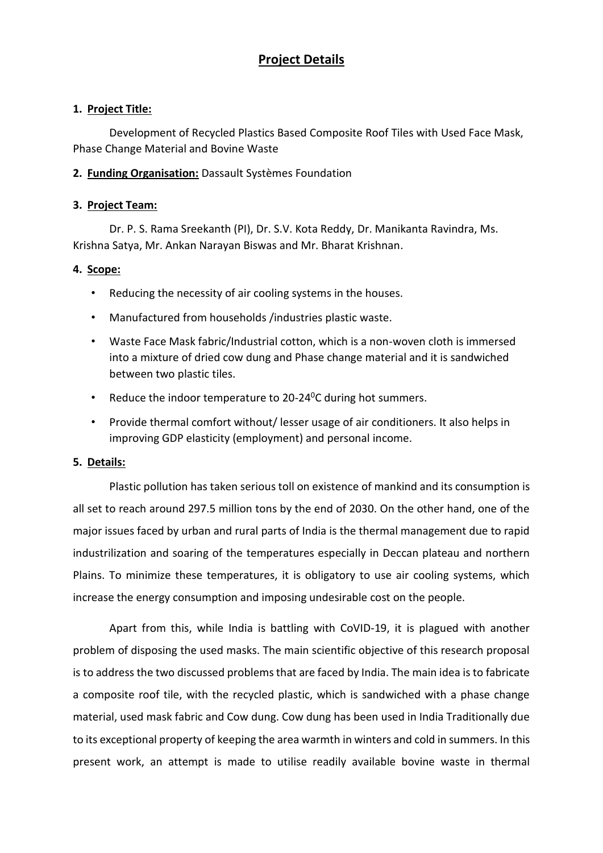# **Project Details**

#### **1. Project Title:**

Development of Recycled Plastics Based Composite Roof Tiles with Used Face Mask, Phase Change Material and Bovine Waste

#### **2. Funding Organisation:** Dassault Systèmes Foundation

#### **3. Project Team:**

Dr. P. S. Rama Sreekanth (PI), Dr. S.V. Kota Reddy, Dr. Manikanta Ravindra, Ms. Krishna Satya, Mr. Ankan Narayan Biswas and Mr. Bharat Krishnan.

#### **4. Scope:**

- Reducing the necessity of air cooling systems in the houses.
- Manufactured from households /industries plastic waste.
- Waste Face Mask fabric/Industrial cotton, which is a non-woven cloth is immersed into a mixture of dried cow dung and Phase change material and it is sandwiched between two plastic tiles.
- Reduce the indoor temperature to  $20-24$ <sup>o</sup>C during hot summers.
- Provide thermal comfort without/ lesser usage of air conditioners. It also helps in improving GDP elasticity (employment) and personal income.

#### **5. Details:**

Plastic pollution has taken serious toll on existence of mankind and its consumption is all set to reach around 297.5 million tons by the end of 2030. On the other hand, one of the major issues faced by urban and rural parts of India is the thermal management due to rapid industrilization and soaring of the temperatures especially in Deccan plateau and northern Plains. To minimize these temperatures, it is obligatory to use air cooling systems, which increase the energy consumption and imposing undesirable cost on the people.

Apart from this, while India is battling with CoVID-19, it is plagued with another problem of disposing the used masks. The main scientific objective of this research proposal is to address the two discussed problems that are faced by India. The main idea is to fabricate a composite roof tile, with the recycled plastic, which is sandwiched with a phase change material, used mask fabric and Cow dung. Cow dung has been used in India Traditionally due to its exceptional property of keeping the area warmth in winters and cold in summers. In this present work, an attempt is made to utilise readily available bovine waste in thermal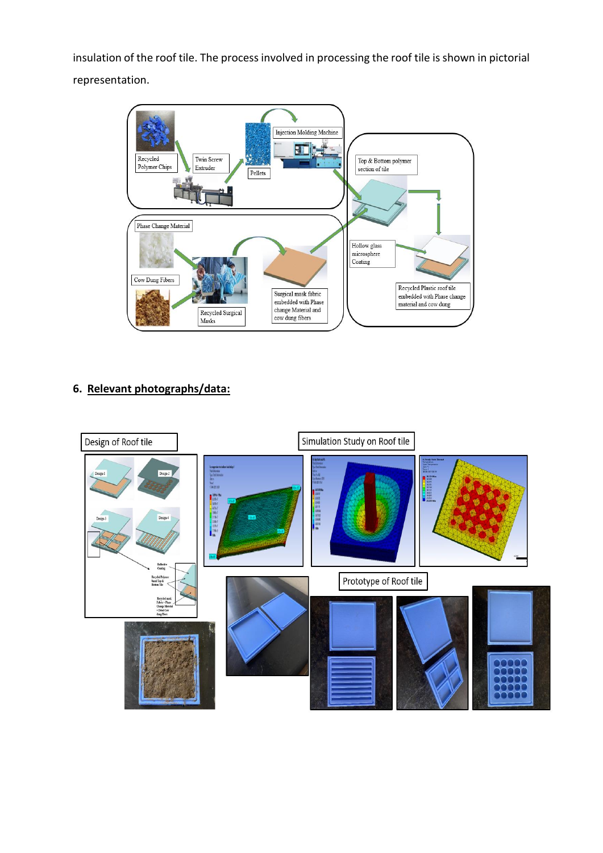insulation of the roof tile. The process involved in processing the roof tile is shown in pictorial representation.



## **6. Relevant photographs/data:**